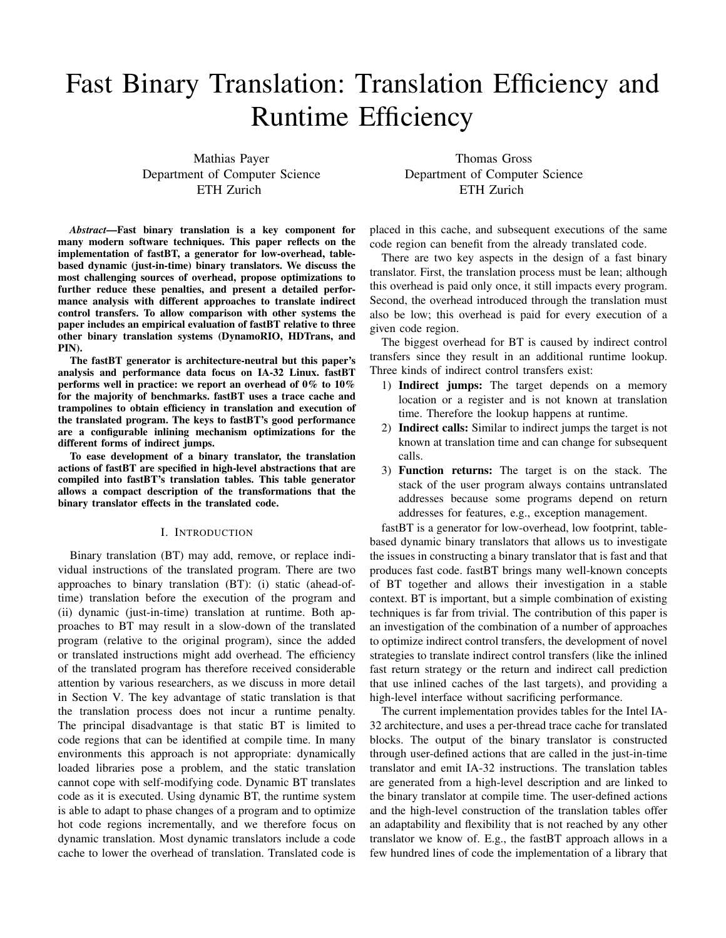# Fast Binary Translation: Translation Efficiency and Runtime Efficiency

Mathias Payer Department of Computer Science ETH Zurich

*Abstract*—Fast binary translation is a key component for many modern software techniques. This paper reflects on the implementation of fastBT, a generator for low-overhead, tablebased dynamic (just-in-time) binary translators. We discuss the most challenging sources of overhead, propose optimizations to further reduce these penalties, and present a detailed performance analysis with different approaches to translate indirect control transfers. To allow comparison with other systems the paper includes an empirical evaluation of fastBT relative to three other binary translation systems (DynamoRIO, HDTrans, and PIN).

The fastBT generator is architecture-neutral but this paper's analysis and performance data focus on IA-32 Linux. fastBT performs well in practice: we report an overhead of 0% to 10% for the majority of benchmarks. fastBT uses a trace cache and trampolines to obtain efficiency in translation and execution of the translated program. The keys to fastBT's good performance are a configurable inlining mechanism optimizations for the different forms of indirect jumps.

To ease development of a binary translator, the translation actions of fastBT are specified in high-level abstractions that are compiled into fastBT's translation tables. This table generator allows a compact description of the transformations that the binary translator effects in the translated code.

## I. INTRODUCTION

Binary translation (BT) may add, remove, or replace individual instructions of the translated program. There are two approaches to binary translation (BT): (i) static (ahead-oftime) translation before the execution of the program and (ii) dynamic (just-in-time) translation at runtime. Both approaches to BT may result in a slow-down of the translated program (relative to the original program), since the added or translated instructions might add overhead. The efficiency of the translated program has therefore received considerable attention by various researchers, as we discuss in more detail in Section V. The key advantage of static translation is that the translation process does not incur a runtime penalty. The principal disadvantage is that static BT is limited to code regions that can be identified at compile time. In many environments this approach is not appropriate: dynamically loaded libraries pose a problem, and the static translation cannot cope with self-modifying code. Dynamic BT translates code as it is executed. Using dynamic BT, the runtime system is able to adapt to phase changes of a program and to optimize hot code regions incrementally, and we therefore focus on dynamic translation. Most dynamic translators include a code cache to lower the overhead of translation. Translated code is

Thomas Gross Department of Computer Science ETH Zurich

placed in this cache, and subsequent executions of the same code region can benefit from the already translated code.

There are two key aspects in the design of a fast binary translator. First, the translation process must be lean; although this overhead is paid only once, it still impacts every program. Second, the overhead introduced through the translation must also be low; this overhead is paid for every execution of a given code region.

The biggest overhead for BT is caused by indirect control transfers since they result in an additional runtime lookup. Three kinds of indirect control transfers exist:

- 1) Indirect jumps: The target depends on a memory location or a register and is not known at translation time. Therefore the lookup happens at runtime.
- 2) Indirect calls: Similar to indirect jumps the target is not known at translation time and can change for subsequent calls.
- 3) Function returns: The target is on the stack. The stack of the user program always contains untranslated addresses because some programs depend on return addresses for features, e.g., exception management.

fastBT is a generator for low-overhead, low footprint, tablebased dynamic binary translators that allows us to investigate the issues in constructing a binary translator that is fast and that produces fast code. fastBT brings many well-known concepts of BT together and allows their investigation in a stable context. BT is important, but a simple combination of existing techniques is far from trivial. The contribution of this paper is an investigation of the combination of a number of approaches to optimize indirect control transfers, the development of novel strategies to translate indirect control transfers (like the inlined fast return strategy or the return and indirect call prediction that use inlined caches of the last targets), and providing a high-level interface without sacrificing performance.

The current implementation provides tables for the Intel IA-32 architecture, and uses a per-thread trace cache for translated blocks. The output of the binary translator is constructed through user-defined actions that are called in the just-in-time translator and emit IA-32 instructions. The translation tables are generated from a high-level description and are linked to the binary translator at compile time. The user-defined actions and the high-level construction of the translation tables offer an adaptability and flexibility that is not reached by any other translator we know of. E.g., the fastBT approach allows in a few hundred lines of code the implementation of a library that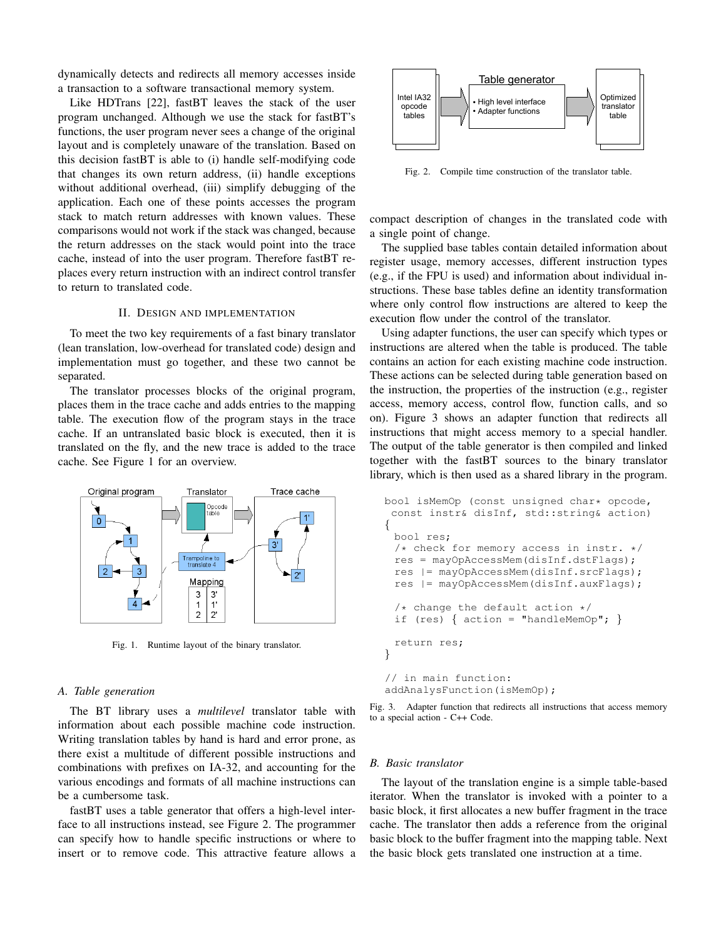dynamically detects and redirects all memory accesses inside a transaction to a software transactional memory system.

Like HDTrans [22], fastBT leaves the stack of the user program unchanged. Although we use the stack for fastBT's functions, the user program never sees a change of the original layout and is completely unaware of the translation. Based on this decision fastBT is able to (i) handle self-modifying code that changes its own return address, (ii) handle exceptions without additional overhead, (iii) simplify debugging of the application. Each one of these points accesses the program stack to match return addresses with known values. These comparisons would not work if the stack was changed, because the return addresses on the stack would point into the trace cache, instead of into the user program. Therefore fastBT replaces every return instruction with an indirect control transfer to return to translated code.

## II. DESIGN AND IMPLEMENTATION

To meet the two key requirements of a fast binary translator (lean translation, low-overhead for translated code) design and implementation must go together, and these two cannot be separated.

The translator processes blocks of the original program, places them in the trace cache and adds entries to the mapping table. The execution flow of the program stays in the trace cache. If an untranslated basic block is executed, then it is translated on the fly, and the new trace is added to the trace cache. See Figure 1 for an overview.



Fig. 1. Runtime layout of the binary translator.

## *A. Table generation*

The BT library uses a *multilevel* translator table with information about each possible machine code instruction. Writing translation tables by hand is hard and error prone, as there exist a multitude of different possible instructions and combinations with prefixes on IA-32, and accounting for the various encodings and formats of all machine instructions can be a cumbersome task.

fastBT uses a table generator that offers a high-level interface to all instructions instead, see Figure 2. The programmer can specify how to handle specific instructions or where to insert or to remove code. This attractive feature allows a



Fig. 2. Compile time construction of the translator table.

compact description of changes in the translated code with a single point of change.

The supplied base tables contain detailed information about register usage, memory accesses, different instruction types (e.g., if the FPU is used) and information about individual instructions. These base tables define an identity transformation where only control flow instructions are altered to keep the execution flow under the control of the translator.

Using adapter functions, the user can specify which types or instructions are altered when the table is produced. The table contains an action for each existing machine code instruction. These actions can be selected during table generation based on the instruction, the properties of the instruction (e.g., register access, memory access, control flow, function calls, and so on). Figure 3 shows an adapter function that redirects all instructions that might access memory to a special handler. The output of the table generator is then compiled and linked together with the fastBT sources to the binary translator library, which is then used as a shared library in the program.

```
bool isMemOp (const unsigned char* opcode,
const instr& disInf, std::string& action)
{
 bool res;
 /* check for memory access in instr. */
 res = mayOpAccessMem(disInf.dstFlags);
 res |= mayOpAccessMem(disInf.srcFlags);
 res |= mayOpAccessMem(disInf.auxFlags);
 /* change the default action */<br>if (res) { action = "handleMemO
    (res) { action = "handleMemOp"; }
 return res;
}
// in main function:
addAnalysFunction(isMemOp);
```


### *B. Basic translator*

The layout of the translation engine is a simple table-based iterator. When the translator is invoked with a pointer to a basic block, it first allocates a new buffer fragment in the trace cache. The translator then adds a reference from the original basic block to the buffer fragment into the mapping table. Next the basic block gets translated one instruction at a time.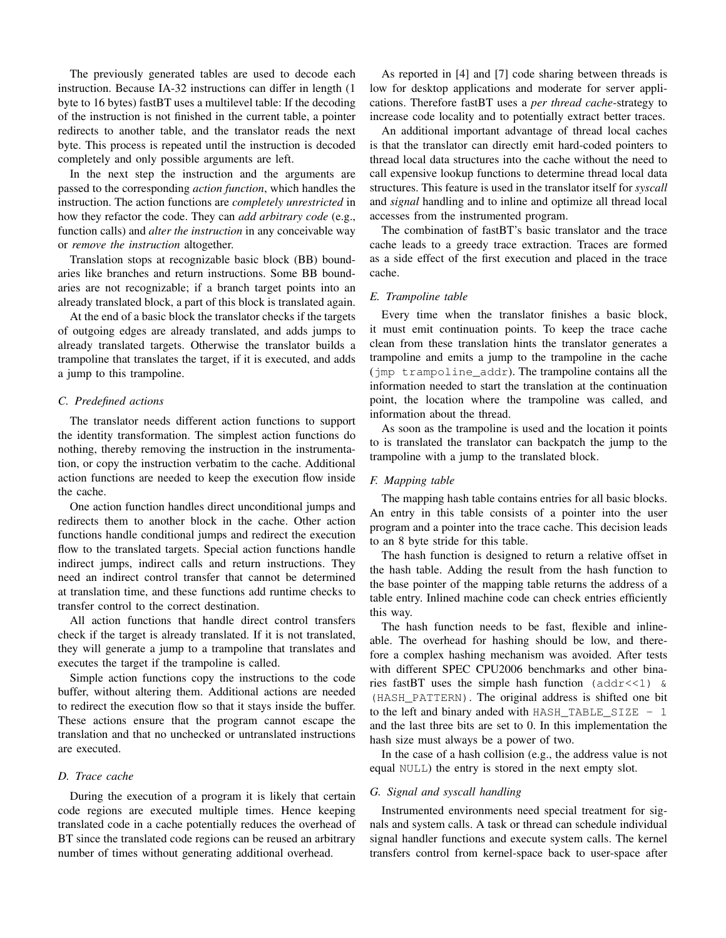The previously generated tables are used to decode each instruction. Because IA-32 instructions can differ in length (1 byte to 16 bytes) fastBT uses a multilevel table: If the decoding of the instruction is not finished in the current table, a pointer redirects to another table, and the translator reads the next byte. This process is repeated until the instruction is decoded completely and only possible arguments are left.

In the next step the instruction and the arguments are passed to the corresponding *action function*, which handles the instruction. The action functions are *completely unrestricted* in how they refactor the code. They can *add arbitrary code* (e.g., function calls) and *alter the instruction* in any conceivable way or *remove the instruction* altogether.

Translation stops at recognizable basic block (BB) boundaries like branches and return instructions. Some BB boundaries are not recognizable; if a branch target points into an already translated block, a part of this block is translated again.

At the end of a basic block the translator checks if the targets of outgoing edges are already translated, and adds jumps to already translated targets. Otherwise the translator builds a trampoline that translates the target, if it is executed, and adds a jump to this trampoline.

#### *C. Predefined actions*

The translator needs different action functions to support the identity transformation. The simplest action functions do nothing, thereby removing the instruction in the instrumentation, or copy the instruction verbatim to the cache. Additional action functions are needed to keep the execution flow inside the cache.

One action function handles direct unconditional jumps and redirects them to another block in the cache. Other action functions handle conditional jumps and redirect the execution flow to the translated targets. Special action functions handle indirect jumps, indirect calls and return instructions. They need an indirect control transfer that cannot be determined at translation time, and these functions add runtime checks to transfer control to the correct destination.

All action functions that handle direct control transfers check if the target is already translated. If it is not translated, they will generate a jump to a trampoline that translates and executes the target if the trampoline is called.

Simple action functions copy the instructions to the code buffer, without altering them. Additional actions are needed to redirect the execution flow so that it stays inside the buffer. These actions ensure that the program cannot escape the translation and that no unchecked or untranslated instructions are executed.

## *D. Trace cache*

During the execution of a program it is likely that certain code regions are executed multiple times. Hence keeping translated code in a cache potentially reduces the overhead of BT since the translated code regions can be reused an arbitrary number of times without generating additional overhead.

As reported in [4] and [7] code sharing between threads is low for desktop applications and moderate for server applications. Therefore fastBT uses a *per thread cache*-strategy to increase code locality and to potentially extract better traces.

An additional important advantage of thread local caches is that the translator can directly emit hard-coded pointers to thread local data structures into the cache without the need to call expensive lookup functions to determine thread local data structures. This feature is used in the translator itself for *syscall* and *signal* handling and to inline and optimize all thread local accesses from the instrumented program.

The combination of fastBT's basic translator and the trace cache leads to a greedy trace extraction. Traces are formed as a side effect of the first execution and placed in the trace cache.

#### *E. Trampoline table*

Every time when the translator finishes a basic block, it must emit continuation points. To keep the trace cache clean from these translation hints the translator generates a trampoline and emits a jump to the trampoline in the cache (jmp trampoline\_addr). The trampoline contains all the information needed to start the translation at the continuation point, the location where the trampoline was called, and information about the thread.

As soon as the trampoline is used and the location it points to is translated the translator can backpatch the jump to the trampoline with a jump to the translated block.

#### *F. Mapping table*

The mapping hash table contains entries for all basic blocks. An entry in this table consists of a pointer into the user program and a pointer into the trace cache. This decision leads to an 8 byte stride for this table.

The hash function is designed to return a relative offset in the hash table. Adding the result from the hash function to the base pointer of the mapping table returns the address of a table entry. Inlined machine code can check entries efficiently this way.

The hash function needs to be fast, flexible and inlineable. The overhead for hashing should be low, and therefore a complex hashing mechanism was avoided. After tests with different SPEC CPU2006 benchmarks and other binaries fastBT uses the simple hash function ( $addr \leq 1$ ) & (HASH\_PATTERN). The original address is shifted one bit to the left and binary anded with  $HASH_TABLE_SIZE - 1$ and the last three bits are set to 0. In this implementation the hash size must always be a power of two.

In the case of a hash collision (e.g., the address value is not equal NULL) the entry is stored in the next empty slot.

#### *G. Signal and syscall handling*

Instrumented environments need special treatment for signals and system calls. A task or thread can schedule individual signal handler functions and execute system calls. The kernel transfers control from kernel-space back to user-space after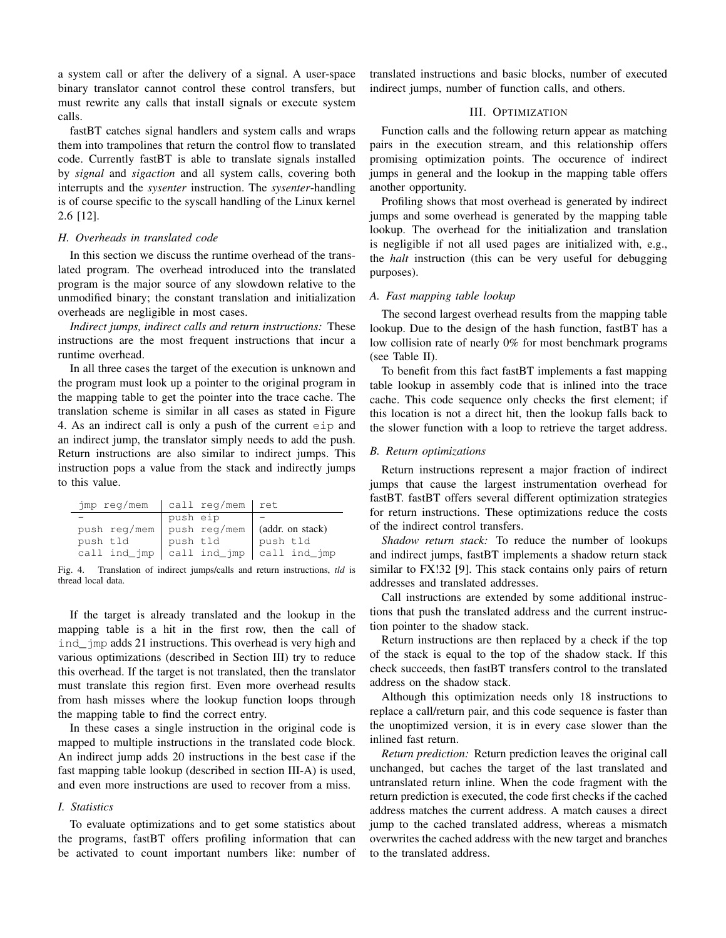a system call or after the delivery of a signal. A user-space binary translator cannot control these control transfers, but must rewrite any calls that install signals or execute system calls.

fastBT catches signal handlers and system calls and wraps them into trampolines that return the control flow to translated code. Currently fastBT is able to translate signals installed by *signal* and *sigaction* and all system calls, covering both interrupts and the *sysenter* instruction. The *sysenter*-handling is of course specific to the syscall handling of the Linux kernel 2.6 [12].

## *H. Overheads in translated code*

In this section we discuss the runtime overhead of the translated program. The overhead introduced into the translated program is the major source of any slowdown relative to the unmodified binary; the constant translation and initialization overheads are negligible in most cases.

*Indirect jumps, indirect calls and return instructions:* These instructions are the most frequent instructions that incur a runtime overhead.

In all three cases the target of the execution is unknown and the program must look up a pointer to the original program in the mapping table to get the pointer into the trace cache. The translation scheme is similar in all cases as stated in Figure 4. As an indirect call is only a push of the current eip and an indirect jump, the translator simply needs to add the push. Return instructions are also similar to indirect jumps. This instruction pops a value from the stack and indirectly jumps to this value.

|          | $\frac{1}{2}$ imp reg/mem   call reg/mem   ret |          |
|----------|------------------------------------------------|----------|
|          | push eip                                       |          |
|          | push reg/mem push reg/mem (addr. on stack)     |          |
| push tld | push tld                                       | push tld |
|          | call ind_jmp $ $ call ind_jmp $ $ call ind_jmp |          |

Fig. 4. Translation of indirect jumps/calls and return instructions, *tld* is thread local data.

If the target is already translated and the lookup in the mapping table is a hit in the first row, then the call of ind\_jmp adds 21 instructions. This overhead is very high and various optimizations (described in Section III) try to reduce this overhead. If the target is not translated, then the translator must translate this region first. Even more overhead results from hash misses where the lookup function loops through the mapping table to find the correct entry.

In these cases a single instruction in the original code is mapped to multiple instructions in the translated code block. An indirect jump adds 20 instructions in the best case if the fast mapping table lookup (described in section III-A) is used, and even more instructions are used to recover from a miss.

## *I. Statistics*

To evaluate optimizations and to get some statistics about the programs, fastBT offers profiling information that can be activated to count important numbers like: number of translated instructions and basic blocks, number of executed indirect jumps, number of function calls, and others.

# III. OPTIMIZATION

Function calls and the following return appear as matching pairs in the execution stream, and this relationship offers promising optimization points. The occurence of indirect jumps in general and the lookup in the mapping table offers another opportunity.

Profiling shows that most overhead is generated by indirect jumps and some overhead is generated by the mapping table lookup. The overhead for the initialization and translation is negligible if not all used pages are initialized with, e.g., the *halt* instruction (this can be very useful for debugging purposes).

#### *A. Fast mapping table lookup*

The second largest overhead results from the mapping table lookup. Due to the design of the hash function, fastBT has a low collision rate of nearly 0% for most benchmark programs (see Table II).

To benefit from this fact fastBT implements a fast mapping table lookup in assembly code that is inlined into the trace cache. This code sequence only checks the first element; if this location is not a direct hit, then the lookup falls back to the slower function with a loop to retrieve the target address.

#### *B. Return optimizations*

Return instructions represent a major fraction of indirect jumps that cause the largest instrumentation overhead for fastBT. fastBT offers several different optimization strategies for return instructions. These optimizations reduce the costs of the indirect control transfers.

*Shadow return stack:* To reduce the number of lookups and indirect jumps, fastBT implements a shadow return stack similar to FX!32 [9]. This stack contains only pairs of return addresses and translated addresses.

Call instructions are extended by some additional instructions that push the translated address and the current instruction pointer to the shadow stack.

Return instructions are then replaced by a check if the top of the stack is equal to the top of the shadow stack. If this check succeeds, then fastBT transfers control to the translated address on the shadow stack.

Although this optimization needs only 18 instructions to replace a call/return pair, and this code sequence is faster than the unoptimized version, it is in every case slower than the inlined fast return.

*Return prediction:* Return prediction leaves the original call unchanged, but caches the target of the last translated and untranslated return inline. When the code fragment with the return prediction is executed, the code first checks if the cached address matches the current address. A match causes a direct jump to the cached translated address, whereas a mismatch overwrites the cached address with the new target and branches to the translated address.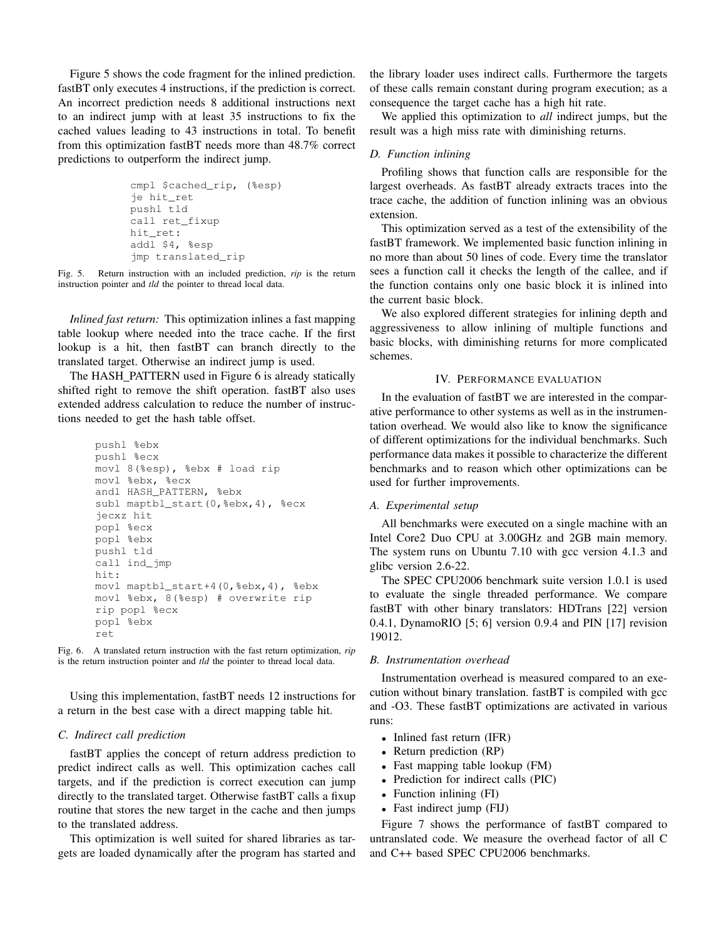Figure 5 shows the code fragment for the inlined prediction. fastBT only executes 4 instructions, if the prediction is correct. An incorrect prediction needs 8 additional instructions next to an indirect jump with at least 35 instructions to fix the cached values leading to 43 instructions in total. To benefit from this optimization fastBT needs more than 48.7% correct predictions to outperform the indirect jump.

```
cmpl $cached_rip, (%esp)
ie hit ret
pushl tld
call ret_fixup
hit_ret:
addl $4, %esp
jmp translated_rip
```
Fig. 5. Return instruction with an included prediction, *rip* is the return instruction pointer and *tld* the pointer to thread local data.

*Inlined fast return:* This optimization inlines a fast mapping table lookup where needed into the trace cache. If the first lookup is a hit, then fastBT can branch directly to the translated target. Otherwise an indirect jump is used.

The HASH\_PATTERN used in Figure 6 is already statically shifted right to remove the shift operation. fastBT also uses extended address calculation to reduce the number of instructions needed to get the hash table offset.

```
pushl %ebx
pushl %ecx
movl 8(%esp), %ebx # load rip
movl %ebx, %ecx
andl HASH_PATTERN, %ebx
subl maptbl_start(0,%ebx,4), %ecx
jecxz hit
popl %ecx
popl %ebx
pushl tld
call ind_jmp
hit:
movl maptbl_start+4(0,%ebx,4), %ebx
movl %ebx, 8(%esp) # overwrite rip
rip popl %ecx
popl %ebx
ret
```


Using this implementation, fastBT needs 12 instructions for a return in the best case with a direct mapping table hit.

## *C. Indirect call prediction*

fastBT applies the concept of return address prediction to predict indirect calls as well. This optimization caches call targets, and if the prediction is correct execution can jump directly to the translated target. Otherwise fastBT calls a fixup routine that stores the new target in the cache and then jumps to the translated address.

This optimization is well suited for shared libraries as targets are loaded dynamically after the program has started and the library loader uses indirect calls. Furthermore the targets of these calls remain constant during program execution; as a consequence the target cache has a high hit rate.

We applied this optimization to *all* indirect jumps, but the result was a high miss rate with diminishing returns.

### *D. Function inlining*

Profiling shows that function calls are responsible for the largest overheads. As fastBT already extracts traces into the trace cache, the addition of function inlining was an obvious extension.

This optimization served as a test of the extensibility of the fastBT framework. We implemented basic function inlining in no more than about 50 lines of code. Every time the translator sees a function call it checks the length of the callee, and if the function contains only one basic block it is inlined into the current basic block.

We also explored different strategies for inlining depth and aggressiveness to allow inlining of multiple functions and basic blocks, with diminishing returns for more complicated schemes.

## IV. PERFORMANCE EVALUATION

In the evaluation of fastBT we are interested in the comparative performance to other systems as well as in the instrumentation overhead. We would also like to know the significance of different optimizations for the individual benchmarks. Such performance data makes it possible to characterize the different benchmarks and to reason which other optimizations can be used for further improvements.

#### *A. Experimental setup*

All benchmarks were executed on a single machine with an Intel Core2 Duo CPU at 3.00GHz and 2GB main memory. The system runs on Ubuntu 7.10 with gcc version 4.1.3 and glibc version 2.6-22.

The SPEC CPU2006 benchmark suite version 1.0.1 is used to evaluate the single threaded performance. We compare fastBT with other binary translators: HDTrans [22] version 0.4.1, DynamoRIO [5; 6] version 0.9.4 and PIN [17] revision 19012.

#### *B. Instrumentation overhead*

Instrumentation overhead is measured compared to an execution without binary translation. fastBT is compiled with gcc and -O3. These fastBT optimizations are activated in various runs:

- Inlined fast return (IFR)
- Return prediction (RP)
- Fast mapping table lookup (FM)
- Prediction for indirect calls (PIC)
- Function inlining (FI)
- Fast indirect jump (FIJ)

Figure 7 shows the performance of fastBT compared to untranslated code. We measure the overhead factor of all C and C++ based SPEC CPU2006 benchmarks.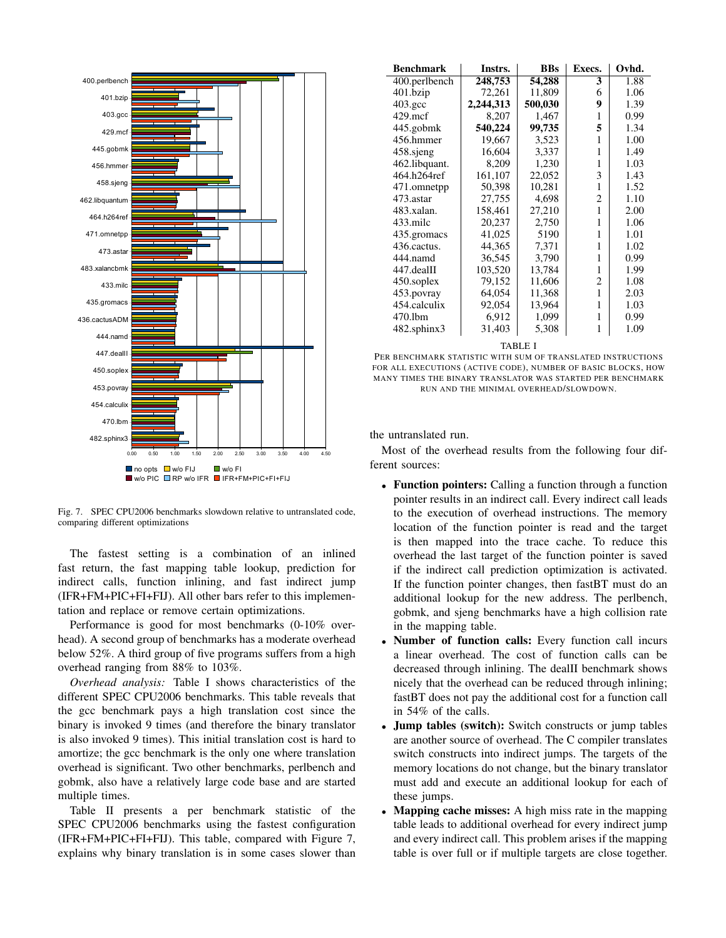

Fig. 7. SPEC CPU2006 benchmarks slowdown relative to untranslated code, comparing different optimizations

The fastest setting is a combination of an inlined fast return, the fast mapping table lookup, prediction for indirect calls, function inlining, and fast indirect jump (IFR+FM+PIC+FI+FIJ). All other bars refer to this implementation and replace or remove certain optimizations.

Performance is good for most benchmarks (0-10% overhead). A second group of benchmarks has a moderate overhead below 52%. A third group of five programs suffers from a high overhead ranging from 88% to 103%.

*Overhead analysis:* Table I shows characteristics of the different SPEC CPU2006 benchmarks. This table reveals that the gcc benchmark pays a high translation cost since the binary is invoked 9 times (and therefore the binary translator is also invoked 9 times). This initial translation cost is hard to amortize; the gcc benchmark is the only one where translation overhead is significant. Two other benchmarks, perlbench and gobmk, also have a relatively large code base and are started multiple times.

Table II presents a per benchmark statistic of the SPEC CPU2006 benchmarks using the fastest configuration (IFR+FM+PIC+FI+FIJ). This table, compared with Figure 7, explains why binary translation is in some cases slower than

| <b>Benchmark</b>   | Instrs.   | <b>BBs</b> | Execs. | Ovhd. |
|--------------------|-----------|------------|--------|-------|
| 400.perlbench      | 248,753   | 54,288     | 3      | 1.88  |
| $401$ .bzip        | 72,261    | 11,809     | 6      | 1.06  |
| $403.\mathrm{gcc}$ | 2,244,313 | 500,030    | 9      | 1.39  |
| $429$ .mcf         | 8,207     | 1,467      | 1      | 0.99  |
| 445.gobmk          | 540,224   | 99,735     | 5      | 1.34  |
| 456.hmmer          | 19,667    | 3,523      | 1      | 1.00  |
| 458.sjeng          | 16,604    | 3,337      | 1      | 1.49  |
| 462.libquant.      | 8,209     | 1,230      | 1      | 1.03  |
| 464.h264ref        | 161,107   | 22,052     | 3      | 1.43  |
| 471.omnetpp        | 50,398    | 10,281     | 1      | 1.52  |
| 473.astar          | 27,755    | 4,698      | 2      | 1.10  |
| 483.xalan.         | 158,461   | 27,210     | 1      | 2.00  |
| 433 mile           | 20,237    | 2,750      | 1      | 1.06  |
| 435.gromacs        | 41,025    | 5190       | 1      | 1.01  |
| 436.cactus.        | 44,365    | 7,371      | 1      | 1.02  |
| 444.namd           | 36,545    | 3,790      | 1      | 0.99  |
| 447.dealII         | 103,520   | 13,784     | 1      | 1.99  |
| 450.soplex         | 79,152    | 11,606     | 2      | 1.08  |
| 453.povray         | 64,054    | 11,368     | 1      | 2.03  |
| 454.calculix       | 92,054    | 13,964     | 1      | 1.03  |
| 470.1bm            | 6,912     | 1,099      | 1      | 0.99  |
| 482.sphinx3        | 31,403    | 5,308      | 1      | 1.09  |

TABLE I

PER BENCHMARK STATISTIC WITH SUM OF TRANSLATED INSTRUCTIONS FOR ALL EXECUTIONS (ACTIVE CODE), NUMBER OF BASIC BLOCKS, HOW MANY TIMES THE BINARY TRANSLATOR WAS STARTED PER BENCHMARK RUN AND THE MINIMAL OVERHEAD/SLOWDOWN.

the untranslated run.

Most of the overhead results from the following four different sources:

- Function pointers: Calling a function through a function pointer results in an indirect call. Every indirect call leads to the execution of overhead instructions. The memory location of the function pointer is read and the target is then mapped into the trace cache. To reduce this overhead the last target of the function pointer is saved if the indirect call prediction optimization is activated. If the function pointer changes, then fastBT must do an additional lookup for the new address. The perlbench, gobmk, and sjeng benchmarks have a high collision rate in the mapping table.
- Number of function calls: Every function call incurs a linear overhead. The cost of function calls can be decreased through inlining. The dealII benchmark shows nicely that the overhead can be reduced through inlining; fastBT does not pay the additional cost for a function call in 54% of the calls.
- **Jump tables (switch):** Switch constructs or jump tables are another source of overhead. The C compiler translates switch constructs into indirect jumps. The targets of the memory locations do not change, but the binary translator must add and execute an additional lookup for each of these jumps.
- Mapping cache misses: A high miss rate in the mapping table leads to additional overhead for every indirect jump and every indirect call. This problem arises if the mapping table is over full or if multiple targets are close together.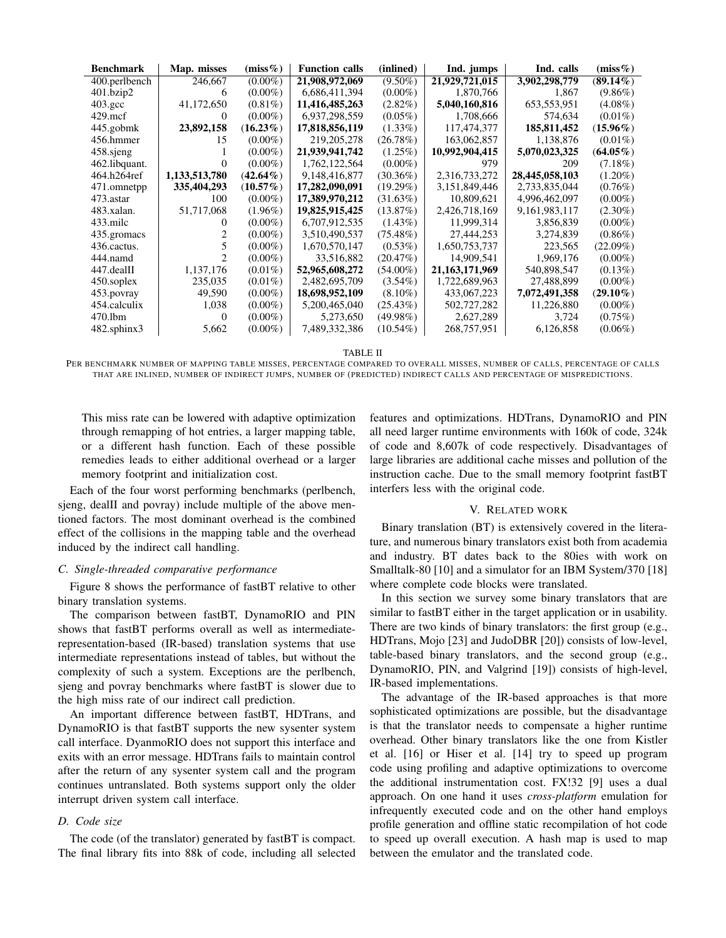| <b>Benchmark</b> | Map. misses   | $(miss\%)$  | <b>Function calls</b> | (inlined)   | Ind. jumps        | Ind. calls       | $(miss\%)$  |
|------------------|---------------|-------------|-----------------------|-------------|-------------------|------------------|-------------|
| 400.perlbench    | 246,667       | $(0.00\%)$  | 21,908,972,069        | $(9.50\%)$  | 21,929,721,015    | 3,902,298,779    | $(89.14\%)$ |
| 401.bzip2        | 6             | $(0.00\%)$  | 6,686,411,394         | $(0.00\%)$  | 1,870,766         | 1.867            | $(9.86\%)$  |
| $403.\text{gcc}$ | 41,172,650    | $(0.81\%)$  | 11,416,485,263        | $(2.82\%)$  | 5,040,160,816     | 653, 553, 951    | $(4.08\%)$  |
| $429$ mcf        | $^{\circ}$    | $(0.00\%)$  | 6,937,298,559         | $(0.05\%)$  | 1,708,666         | 574,634          | $(0.01\%)$  |
| 445.gobmk        | 23,892,158    | $(16.23\%)$ | 17,818,856,119        | $(1.33\%)$  | 117,474,377       | 185,811,452      | $(15.96\%)$ |
| 456.hmmer        | 15            | $(0.00\%)$  | 219, 205, 278         | (26.78%)    | 163,062,857       | 1,138,876        | $(0.01\%)$  |
| 458 sjeng        |               | $(0.00\%)$  | 21,939,941,742        | $(1.25\%)$  | 10,992,904,415    | 5,070,023,325    | $(64.05\%)$ |
| 462.libquant.    |               | $(0.00\%)$  | 1,762,122,564         | $(0.00\%)$  | 979               | 209              | $(7.18\%)$  |
| 464.h264ref      | 1,133,513,780 | $(42.64\%)$ | 9,148,416,877         | $(30.36\%)$ | 2,316,733,272     | 28,445,058,103   | $(1.20\%)$  |
| 471.omnetpp      | 335,404,293   | $(10.57\%)$ | 17,282,090,091        | $(19.29\%)$ | 3,151,849,446     | 2,733,835,044    | $(0.76\%)$  |
| 473.astar        | 100           | $(0.00\%)$  | 17,389,970,212        | (31.63%)    | 10,809,621        | 4,996,462,097    | $(0.00\%)$  |
| 483.xalan.       | 51,717,068    | $(1.96\%)$  | 19,825,915,425        | $(13.87\%)$ | 2,426,718,169     | 9, 161, 983, 117 | $(2.30\%)$  |
| 433.milc         | 0             | $(0.00\%)$  | 6,707,912,535         | $(1.43\%)$  | 11,999,314        | 3,856,839        | $(0.00\%)$  |
| 435.gromacs      |               | $(0.00\%)$  | 3,510,490,537         | $(75.48\%)$ | 27,444,253        | 3,274,839        | $(0.86\%)$  |
| 436. cactus.     |               | $(0.00\%)$  | 1,670,570,147         | $(0.53\%)$  | 1,650,753,737     | 223,565          | $(22.09\%)$ |
| 444.namd         |               | $(0.00\%)$  | 33,516,882            | (20.47%)    | 14,909,541        | 1,969,176        | $(0.00\%)$  |
| 447.dealII       | 1,137,176     | $(0.01\%)$  | 52,965,608,272        | $(54.00\%)$ | 21, 163, 171, 969 | 540,898,547      | $(0.13\%)$  |
| 450.soplex       | 235,035       | $(0.01\%)$  | 2,482,695,709         | $(3.54\%)$  | 1,722,689,963     | 27,488,899       | $(0.00\%)$  |
| 453.povray       | 49,590        | $(0.00\%)$  | 18,698,952,109        | $(8.10\%)$  | 433,067,223       | 7,072,491,358    | $(29.10\%)$ |
| 454.calculix     | 1,038         | $(0.00\%)$  | 5,200,465,040         | $(25.43\%)$ | 502,727,282       | 11,226,880       | $(0.00\%)$  |
| 470.1bm          | $\theta$      | $(0.00\%)$  | 5,273,650             | $(49.98\%)$ | 2,627,289         | 3,724            | $(0.75\%)$  |
| 482.sphinx3      | 5,662         | $(0.00\%)$  | 7,489,332,386         | $(10.54\%)$ | 268,757,951       | 6,126,858        | $(0.06\%)$  |

TABLE II

PER BENCHMARK NUMBER OF MAPPING TABLE MISSES, PERCENTAGE COMPARED TO OVERALL MISSES, NUMBER OF CALLS, PERCENTAGE OF CALLS THAT ARE INLINED, NUMBER OF INDIRECT JUMPS, NUMBER OF (PREDICTED) INDIRECT CALLS AND PERCENTAGE OF MISPREDICTIONS.

This miss rate can be lowered with adaptive optimization through remapping of hot entries, a larger mapping table, or a different hash function. Each of these possible remedies leads to either additional overhead or a larger memory footprint and initialization cost.

Each of the four worst performing benchmarks (perlbench, sjeng, dealII and povray) include multiple of the above mentioned factors. The most dominant overhead is the combined effect of the collisions in the mapping table and the overhead induced by the indirect call handling.

#### *C. Single-threaded comparative performance*

Figure 8 shows the performance of fastBT relative to other binary translation systems.

The comparison between fastBT, DynamoRIO and PIN shows that fastBT performs overall as well as intermediaterepresentation-based (IR-based) translation systems that use intermediate representations instead of tables, but without the complexity of such a system. Exceptions are the perlbench, sjeng and povray benchmarks where fastBT is slower due to the high miss rate of our indirect call prediction.

An important difference between fastBT, HDTrans, and DynamoRIO is that fastBT supports the new sysenter system call interface. DyanmoRIO does not support this interface and exits with an error message. HDTrans fails to maintain control after the return of any sysenter system call and the program continues untranslated. Both systems support only the older interrupt driven system call interface.

## *D. Code size*

The code (of the translator) generated by fastBT is compact. The final library fits into 88k of code, including all selected features and optimizations. HDTrans, DynamoRIO and PIN all need larger runtime environments with 160k of code, 324k of code and 8,607k of code respectively. Disadvantages of large libraries are additional cache misses and pollution of the instruction cache. Due to the small memory footprint fastBT interfers less with the original code.

## V. RELATED WORK

Binary translation (BT) is extensively covered in the literature, and numerous binary translators exist both from academia and industry. BT dates back to the 80ies with work on Smalltalk-80 [10] and a simulator for an IBM System/370 [18] where complete code blocks were translated.

In this section we survey some binary translators that are similar to fastBT either in the target application or in usability. There are two kinds of binary translators: the first group (e.g., HDTrans, Mojo [23] and JudoDBR [20]) consists of low-level, table-based binary translators, and the second group (e.g., DynamoRIO, PIN, and Valgrind [19]) consists of high-level, IR-based implementations.

The advantage of the IR-based approaches is that more sophisticated optimizations are possible, but the disadvantage is that the translator needs to compensate a higher runtime overhead. Other binary translators like the one from Kistler et al. [16] or Hiser et al. [14] try to speed up program code using profiling and adaptive optimizations to overcome the additional instrumentation cost. FX!32 [9] uses a dual approach. On one hand it uses *cross-platform* emulation for infrequently executed code and on the other hand employs profile generation and offline static recompilation of hot code to speed up overall execution. A hash map is used to map between the emulator and the translated code.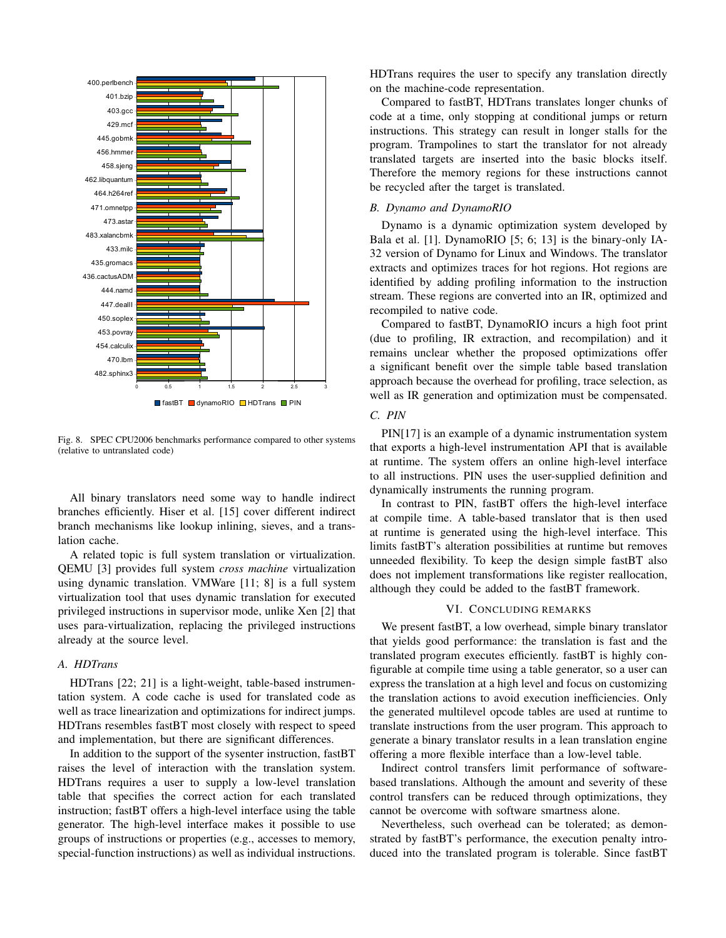

Fig. 8. SPEC CPU2006 benchmarks performance compared to other systems (relative to untranslated code)

All binary translators need some way to handle indirect branches efficiently. Hiser et al. [15] cover different indirect branch mechanisms like lookup inlining, sieves, and a translation cache.

A related topic is full system translation or virtualization. QEMU [3] provides full system *cross machine* virtualization using dynamic translation. VMWare [11; 8] is a full system virtualization tool that uses dynamic translation for executed privileged instructions in supervisor mode, unlike Xen [2] that uses para-virtualization, replacing the privileged instructions already at the source level.

# *A. HDTrans*

HDTrans [22; 21] is a light-weight, table-based instrumentation system. A code cache is used for translated code as well as trace linearization and optimizations for indirect jumps. HDTrans resembles fastBT most closely with respect to speed and implementation, but there are significant differences.

In addition to the support of the sysenter instruction, fastBT raises the level of interaction with the translation system. HDTrans requires a user to supply a low-level translation table that specifies the correct action for each translated instruction; fastBT offers a high-level interface using the table generator. The high-level interface makes it possible to use groups of instructions or properties (e.g., accesses to memory, special-function instructions) as well as individual instructions. HDTrans requires the user to specify any translation directly on the machine-code representation.

Compared to fastBT, HDTrans translates longer chunks of code at a time, only stopping at conditional jumps or return instructions. This strategy can result in longer stalls for the program. Trampolines to start the translator for not already translated targets are inserted into the basic blocks itself. Therefore the memory regions for these instructions cannot be recycled after the target is translated.

## *B. Dynamo and DynamoRIO*

Dynamo is a dynamic optimization system developed by Bala et al. [1]. DynamoRIO [5; 6; 13] is the binary-only IA-32 version of Dynamo for Linux and Windows. The translator extracts and optimizes traces for hot regions. Hot regions are identified by adding profiling information to the instruction stream. These regions are converted into an IR, optimized and recompiled to native code.

Compared to fastBT, DynamoRIO incurs a high foot print (due to profiling, IR extraction, and recompilation) and it remains unclear whether the proposed optimizations offer a significant benefit over the simple table based translation approach because the overhead for profiling, trace selection, as well as IR generation and optimization must be compensated.

# *C. PIN*

PIN[17] is an example of a dynamic instrumentation system that exports a high-level instrumentation API that is available at runtime. The system offers an online high-level interface to all instructions. PIN uses the user-supplied definition and dynamically instruments the running program.

In contrast to PIN, fastBT offers the high-level interface at compile time. A table-based translator that is then used at runtime is generated using the high-level interface. This limits fastBT's alteration possibilities at runtime but removes unneeded flexibility. To keep the design simple fastBT also does not implement transformations like register reallocation, although they could be added to the fastBT framework.

## VI. CONCLUDING REMARKS

We present fastBT, a low overhead, simple binary translator that yields good performance: the translation is fast and the translated program executes efficiently. fastBT is highly configurable at compile time using a table generator, so a user can express the translation at a high level and focus on customizing the translation actions to avoid execution inefficiencies. Only the generated multilevel opcode tables are used at runtime to translate instructions from the user program. This approach to generate a binary translator results in a lean translation engine offering a more flexible interface than a low-level table.

Indirect control transfers limit performance of softwarebased translations. Although the amount and severity of these control transfers can be reduced through optimizations, they cannot be overcome with software smartness alone.

Nevertheless, such overhead can be tolerated; as demonstrated by fastBT's performance, the execution penalty introduced into the translated program is tolerable. Since fastBT